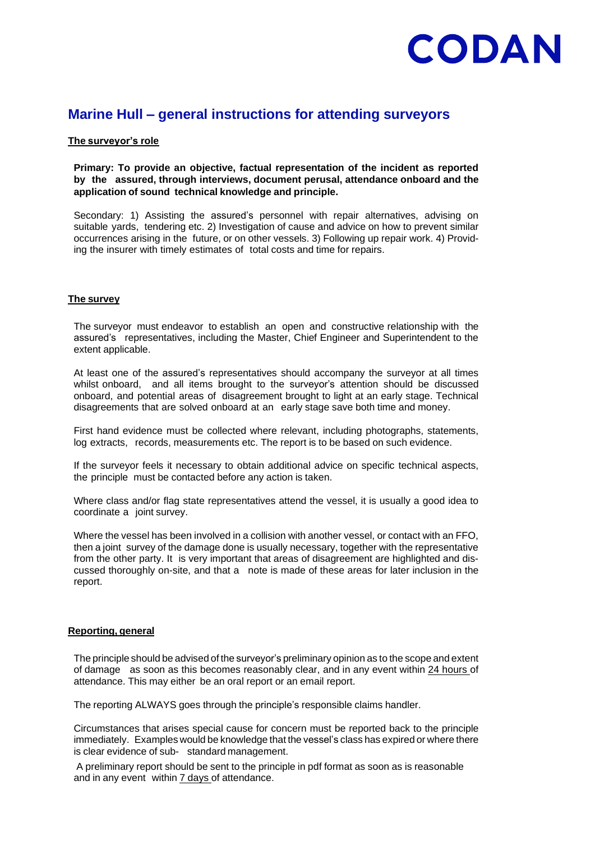### **Marine Hull – general instructions for attending surveyors**

#### **The surveyor's role**

#### **Primary: To provide an objective, factual representation of the incident as reported by the assured, through interviews, document perusal, attendance onboard and the application of sound technical knowledge and principle.**

Secondary: 1) Assisting the assured's personnel with repair alternatives, advising on suitable yards, tendering etc. 2) Investigation of cause and advice on how to prevent similar occurrences arising in the future, or on other vessels. 3) Following up repair work. 4) Providing the insurer with timely estimates of total costs and time for repairs.

#### **The survey**

The surveyor must endeavor to establish an open and constructive relationship with the assured's representatives, including the Master, Chief Engineer and Superintendent to the extent applicable.

At least one of the assured's representatives should accompany the surveyor at all times whilst onboard, and all items brought to the surveyor's attention should be discussed onboard, and potential areas of disagreement brought to light at an early stage. Technical disagreements that are solved onboard at an early stage save both time and money.

First hand evidence must be collected where relevant, including photographs, statements, log extracts, records, measurements etc. The report is to be based on such evidence.

If the surveyor feels it necessary to obtain additional advice on specific technical aspects, the principle must be contacted before any action is taken.

Where class and/or flag state representatives attend the vessel, it is usually a good idea to coordinate a joint survey.

Where the vessel has been involved in a collision with another vessel, or contact with an FFO, then a joint survey of the damage done is usually necessary, together with the representative from the other party. It is very important that areas of disagreement are highlighted and discussed thoroughly on-site, and that a note is made of these areas for later inclusion in the report.

#### **Reporting, general**

The principle should be advised of the surveyor's preliminary opinion as to the scope and extent of damage as soon as this becomes reasonably clear, and in any event within 24 hours of attendance. This may either be an oral report or an email report.

The reporting ALWAYS goes through the principle's responsible claims handler.

Circumstances that arises special cause for concern must be reported back to the principle immediately. Examples would be knowledge that the vessel's class has expired or where there is clear evidence of sub- standard management.

A preliminary report should be sent to the principle in pdf format as soon as is reasonable and in any event within 7 days of attendance.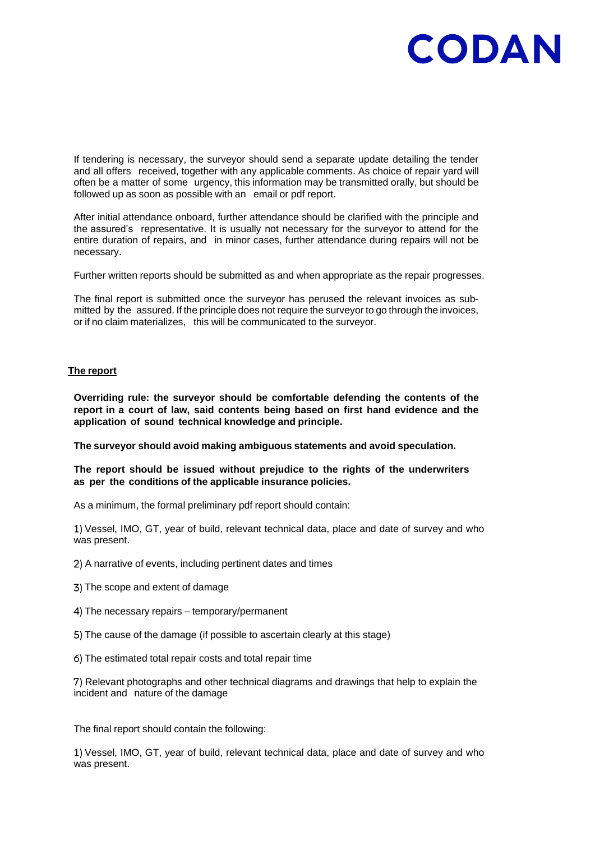If tendering is necessary, the surveyor should send a separate update detailing the tender and all offers received, together with any applicable comments. As choice of repair yard will often be a matter of some urgency, this information may be transmitted orally, but should be followed up as soon as possible with an email or pdf report.

After initial attendance onboard, further attendance should be clarified with the principle and the assured's representative. It is usually not necessary for the surveyor to attend for the entire duration of repairs, and in minor cases, further attendance during repairs will not be necessary.

Further written reports should be submitted as and when appropriate as the repair progresses.

The final report is submitted once the surveyor has perused the relevant invoices as submitted by the assured. If the principle does not require the surveyor to go through the invoices, or if no claim materializes, this will be communicated to the surveyor.

#### **The report**

**Overriding rule: the surveyor should be comfortable defending the contents of the report in a court of law, said contents being based on first hand evidence and the application of sound technical knowledge and principle.**

**The surveyor should avoid making ambiguous statements and avoid speculation.**

#### **The report should be issued without prejudice to the rights of the underwriters as per the conditions of the applicable insurance policies.**

As a minimum, the formal preliminary pdf report should contain:

Vessel, IMO, GT, year of build, relevant technical data, place and date of survey and who was present.

- 2) A narrative of events, including pertinent dates and times
- The scope and extent of damage
- 4) The necessary repairs temporary/permanent
- The cause of the damage (if possible to ascertain clearly at this stage)
- The estimated total repair costs and total repair time

Relevant photographs and other technical diagrams and drawings that help to explain the incident and nature of the damage

The final report should contain the following:

Vessel, IMO, GT, year of build, relevant technical data, place and date of survey and who was present.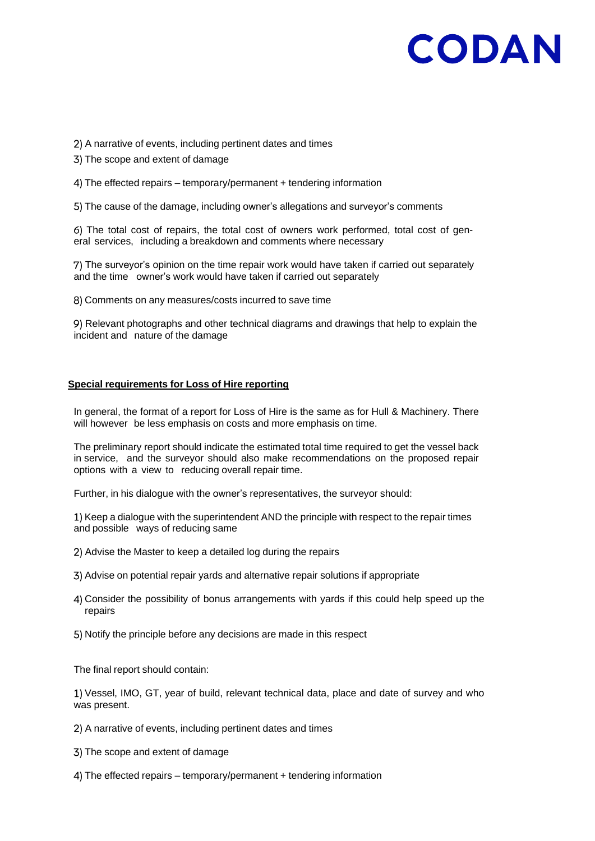A narrative of events, including pertinent dates and times

- 3) The scope and extent of damage
- 4) The effected repairs temporary/permanent + tendering information

5) The cause of the damage, including owner's allegations and surveyor's comments

6) The total cost of repairs, the total cost of owners work performed, total cost of general services, including a breakdown and comments where necessary

The surveyor's opinion on the time repair work would have taken if carried out separately and the time owner's work would have taken if carried out separately

Comments on any measures/costs incurred to save time

9) Relevant photographs and other technical diagrams and drawings that help to explain the incident and nature of the damage

#### **Special requirements for Loss of Hire reporting**

In general, the format of a report for Loss of Hire is the same as for Hull & Machinery. There will however be less emphasis on costs and more emphasis on time.

The preliminary report should indicate the estimated total time required to get the vessel back in service, and the surveyor should also make recommendations on the proposed repair options with a view to reducing overall repair time.

Further, in his dialogue with the owner's representatives, the surveyor should:

1) Keep a dialogue with the superintendent AND the principle with respect to the repair times and possible ways of reducing same

- Advise the Master to keep a detailed log during the repairs
- Advise on potential repair yards and alternative repair solutions if appropriate
- Consider the possibility of bonus arrangements with yards if this could help speed up the repairs
- Notify the principle before any decisions are made in this respect

The final report should contain:

Vessel, IMO, GT, year of build, relevant technical data, place and date of survey and who was present.

- 2) A narrative of events, including pertinent dates and times
- The scope and extent of damage
- 4) The effected repairs temporary/permanent + tendering information